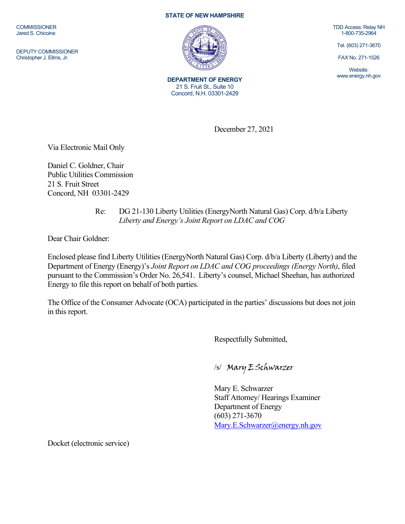**COMMISSIONER** Jared S. Chicoine

DEPUTY COMMISSIONER Christopher J. Ellms, Jr.

## **STATE OF NEW HAMPSHIRE**



**DEPARTMENT OF ENERGY** 21 S. Fruit St., Suite 10 Concord, N.H. 03301-2429

TDD Access: Relay NH 1-800-735-2964

Tel. (603) 271-3670

FAX No. 271-1526

Website: www.energy.nh.gov

December 27, 2021

Via Electronic Mail Only

Daniel C. Goldner, Chair Public Utilities Commission 21 S. Fruit Street Concord, NH 03301-2429

## Re: DG 21-130 Liberty Utilities (EnergyNorth Natural Gas) Corp. d/b/a Liberty *Liberty and Energy's Joint Report on LDAC and COG*

Dear Chair Goldner:

Enclosed please find Liberty Utilities (EnergyNorth Natural Gas) Corp. d/b/a Liberty (Liberty) and the Department of Energy (Energy)'s *Joint Report on LDAC and COG proceedings (Energy North)*, filed pursuant to the Commission's Order No. 26,541. Liberty's counsel, Michael Sheehan, has authorized Energy to file this report on behalf of both parties.

The Office of the Consumer Advocate (OCA) participated in the parties' discussions but does not join in this report.

Respectfully Submitted,

/s/ Mary E Schwarzer

Mary E. Schwarzer Staff Attorney/ Hearings Examiner Department of Energy (603) 271-3670 [Mary.E.Schwarzer@energy.nh.gov](mailto:Mary.E.Schwarzer@energy.nh.gov)

Docket (electronic service)